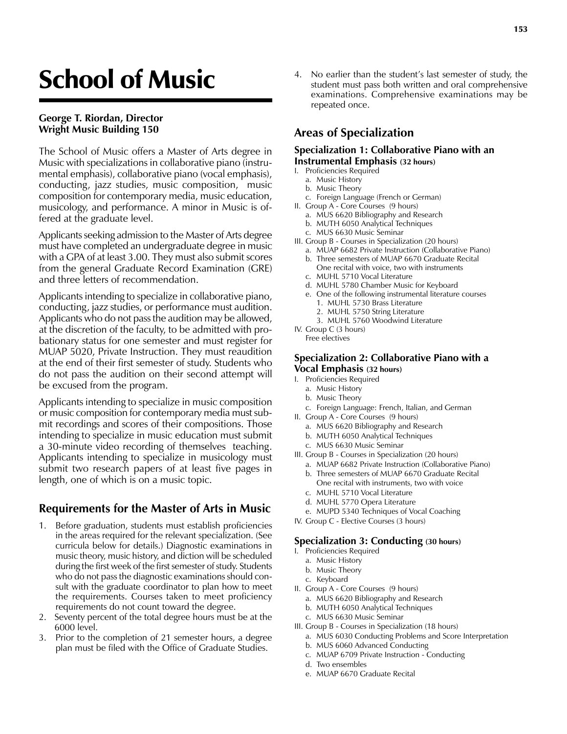# School of Music

#### **George T. Riordan, Director Wright Music Building 150**

The School of Music offers a Master of Arts degree in Music with specializations in collaborative piano (instrumental emphasis), collaborative piano (vocal emphasis), conducting, jazz studies, music composition, music composition for contemporary media, music education, musicology, and performance. A minor in Music is offered at the graduate level.

Applicants seeking admission to the Master of Arts degree must have completed an undergraduate degree in music with a GPA of at least 3.00. They must also submit scores from the general Graduate Record Examination (GRE) and three letters of recommendation.

Applicants intending to specialize in collaborative piano, conducting, jazz studies, or performance must audition. Applicants who do not pass the audition may be allowed, at the discretion of the faculty, to be admitted with probationary status for one semester and must register for MUAP 5020, Private Instruction. They must reaudition at the end of their first semester of study. Students who do not pass the audition on their second attempt will be excused from the program.

Applicants intending to specialize in music composition or music composition for contemporary media must submit recordings and scores of their compositions. Those intending to specialize in music education must submit a 30-minute video recording of themselves teaching. Applicants intending to specialize in musicology must submit two research papers of at least five pages in length, one of which is on a music topic.

# **Requirements for the Master of Arts in Music**

- 1. Before graduation, students must establish proficiencies in the areas required for the relevant specialization. (See curricula below for details.) Diagnostic examinations in music theory, music history, and diction will be scheduled during the first week of the first semester of study. Students who do not pass the diagnostic examinations should consult with the graduate coordinator to plan how to meet the requirements. Courses taken to meet proficiency requirements do not count toward the degree.
- 2. Seventy percent of the total degree hours must be at the 6000 level.
- 3. Prior to the completion of 21 semester hours, a degree plan must be filed with the Office of Graduate Studies.

4. No earlier than the student's last semester of study, the student must pass both written and oral comprehensive examinations. Comprehensive examinations may be repeated once.

# **Areas of Specialization**

#### **Specialization 1: Collaborative Piano with an Instrumental Emphasis (32 hours)**

- I. Proficiencies Required
	- a. Music History
	- b. Music Theory
	- c. Foreign Language (French or German)
- II. Group A Core Courses (9 hours)
	- a. MUS 6620 Bibliography and Research b. MUTH 6050 Analytical Techniques
	- c. MUS 6630 Music Seminar
- III. Group B Courses in Specialization (20 hours)
	- a. MUAP 6682 Private Instruction (Collaborative Piano)
	- b. Three semesters of MUAP 6670 Graduate Recital One recital with voice, two with instruments
	- c. MUHL 5710 Vocal Literature
	- d. MUHL 5780 Chamber Music for Keyboard
	- e. One of the following instrumental literature courses 1. MUHL 5730 Brass Literature
		- 2. MUHL 5750 String Literature
		- 3. MUHL 5760 Woodwind Literature
- IV. Group C (3 hours) Free electives

#### **Specialization 2: Collaborative Piano with a Vocal Emphasis (32 hours)**

- I. Proficiencies Required
	- a. Music History
	- b. Music Theory
	- c. Foreign Language: French, Italian, and German
- II. Group A Core Courses (9 hours)
	- a. MUS 6620 Bibliography and Research
	- b. MUTH 6050 Analytical Techniques
	- c. MUS 6630 Music Seminar
- III. Group B Courses in Specialization (20 hours)
	- a. MUAP 6682 Private Instruction (Collaborative Piano) b. Three semesters of MUAP 6670 Graduate Recital
	- One recital with instruments, two with voice c. MUHL 5710 Vocal Literature
	- d. MUHL 5770 Opera Literature
	- e. MUPD 5340 Techniques of Vocal Coaching
- IV. Group C Elective Courses (3 hours)

#### **Specialization 3: Conducting (30 hours)**

- I. Proficiencies Required
	- a. Music History
	- b. Music Theory
	- c. Keyboard
- II. Group A Core Courses (9 hours)
	- a. MUS 6620 Bibliography and Research
	- b. MUTH 6050 Analytical Techniques
	- c. MUS 6630 Music Seminar
- III. Group B Courses in Specialization (18 hours)
	- a. MUS 6030 Conducting Problems and Score Interpretation
	- b. MUS 6060 Advanced Conducting
	- c. MUAP 6709 Private Instruction Conducting
	- d. Two ensembles
	- e. MUAP 6670 Graduate Recital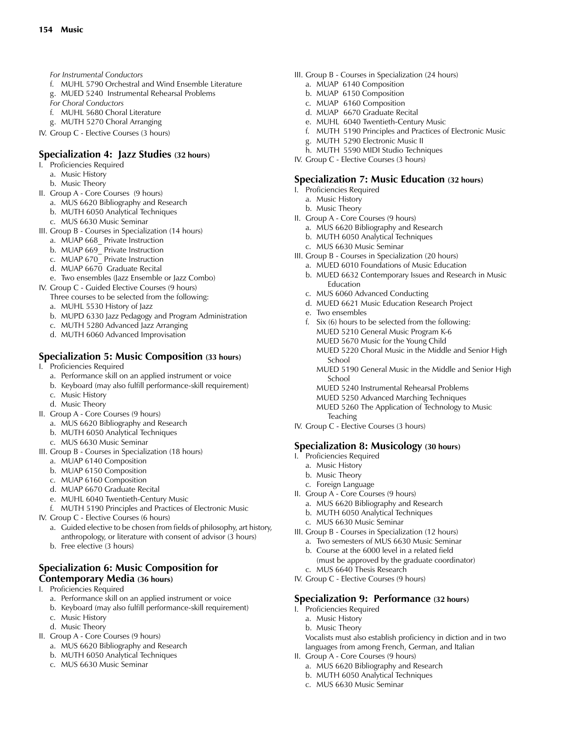- *For Instrumental Conductors*
- f. MUHL 5790 Orchestral and Wind Ensemble Literature
- g. MUED 5240 Instrumental Rehearsal Problems
- *For Choral Conductors*
- f. MUHL 5680 Choral Literature
- g. MUTH 5270 Choral Arranging
- IV. Group C Elective Courses (3 hours)

### **Specialization 4: Jazz Studies (32 hours)**

- I. Proficiencies Required
	- a. Music History
	- b. Music Theory
- II. Group A Core Courses (9 hours)
	- a. MUS 6620 Bibliography and Research
	- b. MUTH 6050 Analytical Techniques
	- c. MUS 6630 Music Seminar
- III. Group B Courses in Specialization (14 hours)
	- a. MUAP 668\_ Private Instruction
	- b. MUAP 669\_ Private Instruction
	- c. MUAP 670 Private Instruction
	- d. MUAP  $6670$  Graduate Recital
	- e. Two ensembles (Jazz Ensemble or Jazz Combo)
- IV. Group C Guided Elective Courses (9 hours) Three courses to be selected from the following:
	- a. MUHL 5530 History of Jazz
	- b. MUPD 6330 Jazz Pedagogy and Program Administration
	- c. MUTH 5280 Advanced Jazz Arranging
	- d. MUTH 6060 Advanced Improvisation

## **Specialization 5: Music Composition (33 hours)**

- I. Proficiencies Required
	- a. Performance skill on an applied instrument or voice
	- b. Keyboard (may also fulfill performance-skill requirement)
	- c. Music History
	- d. Music Theory
- II. Group A Core Courses (9 hours)
	- a. MUS 6620 Bibliography and Research
	- b. MUTH 6050 Analytical Techniques
	- c. MUS 6630 Music Seminar
- III. Group B Courses in Specialization (18 hours)
	- a. MUAP 6140 Composition
	- b. MUAP 6150 Composition
	- c. MUAP 6160 Composition
	- d. MUAP 6670 Graduate Recital
	- e. MUHL 6040 Twentieth-Century Music
	- f. MUTH 5190 Principles and Practices of Electronic Music
- IV. Group C Elective Courses (6 hours)
	- a. Guided elective to be chosen from fields of philosophy, art history, anthropology, or literature with consent of advisor (3 hours)
	- b. Free elective (3 hours)

#### **Specialization 6: Music Composition for Contemporary Media (36 hours)**

- I. Proficiencies Required
	- a. Performance skill on an applied instrument or voice
	- b. Keyboard (may also fulfill performance-skill requirement)
	- c. Music History
	- d. Music Theory
- II. Group A Core Courses (9 hours)
	- a. MUS 6620 Bibliography and Research
	- b. MUTH 6050 Analytical Techniques
	- c. MUS 6630 Music Seminar
- III. Group B Courses in Specialization (24 hours)
	- a. MUAP 6140 Composition
	- b. MUAP 6150 Composition
	- c. MUAP 6160 Composition
	- d. MUAP 6670 Graduate Recital
	- e. MUHL 6040 Twentieth-Century Music
	- f. MUTH 5190 Principles and Practices of Electronic Music
	- g. MUTH 5290 Electronic Music II
	- h. MUTH 5590 MIDI Studio Techniques
- IV. Group C Elective Courses (3 hours)

## **Specialization 7: Music Education (32 hours)**

- I. Proficiencies Required
	- a. Music History
	- b. Music Theory
- II. Group A Core Courses (9 hours)
	- a. MUS 6620 Bibliography and Research
	- b. MUTH 6050 Analytical Techniques
	- c. MUS 6630 Music Seminar
- III. Group B Courses in Specialization (20 hours)
	- a. MUED 6010 Foundations of Music Education b. MUED 6632 Contemporary Issues and Research in Music
	- Education c. MUS 6060 Advanced Conducting
	- d. MUED 6621 Music Education Research Project
	- e. Two ensembles
	- f.  $Six (6)$  hours to be selected from the following: MUED 5210 General Music Program K-6 MUED 5670 Music for the Young Child MUED 5220 Choral Music in the Middle and Senior High
		- School
		- MUED 5190 General Music in the Middle and Senior High School
		- MUED 5240 Instrumental Rehearsal Problems
		- MUED 5250 Advanced Marching Techniques
		- MUED 5260 The Application of Technology to Music **Teaching**
- IV. Group C Elective Courses (3 hours)

## **Specialization 8: Musicology (30 hours)**

- I. Proficiencies Required
	- a. Music History
	- b. Music Theory

a. Music History b. Music Theory

- c. Foreign Language
- II. Group A Core Courses (9 hours)
	- a. MUS 6620 Bibliography and Research
	- b. MUTH 6050 Analytical Techniques
	- c. MUS 6630 Music Seminar
- III. Group B Courses in Specialization (12 hours) a. Two semesters of MUS 6630 Music Seminar
	- b. Course at the 6000 level in a related field (must be approved by the graduate coordinator) c. MUS 6640 Thesis Research
- IV. Group C Elective Courses (9 hours)

II. Group A - Core Courses (9 hours)

a. MUS 6620 Bibliography and Research b. MUTH 6050 Analytical Techniques c. MUS 6630 Music Seminar

#### **Specialization 9: Performance (32 hours)** I. Proficiencies Required

 Vocalists must also establish proficiency in diction and in two languages from among French, German, and Italian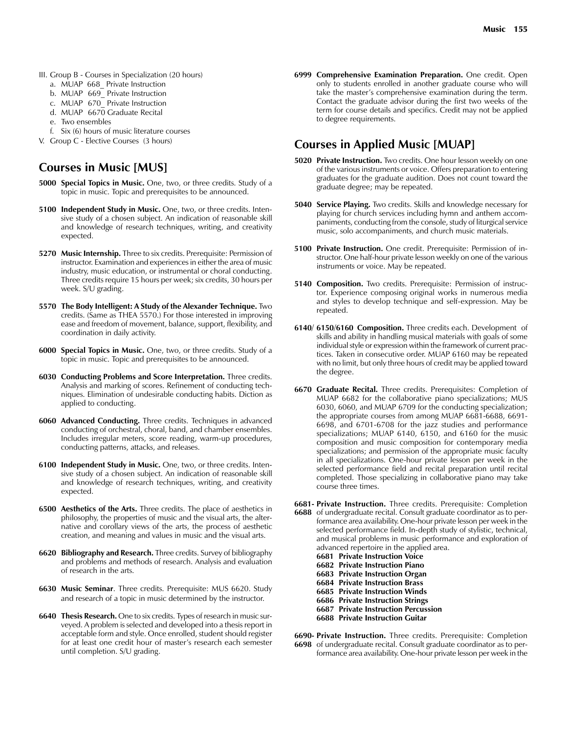- III. Group B Courses in Specialization (20 hours)
	- a. MUAP 668 Private Instruction
	- b. MUAP 669\_ Private Instruction
	- c. MUAP 670 Private Instruction
	- d. MUAP 6670 Graduate Recital
	- e. Two ensembles
	- f. Six (6) hours of music literature courses
- V. Group C Elective Courses (3 hours)

# **Courses in Music [MUS]**

- **5000 Special Topics in Music.** One, two, or three credits. Study of a topic in music. Topic and prerequisites to be announced.
- **5100 Independent Study in Music.** One, two, or three credits. Intensive study of a chosen subject. An indication of reasonable skill and knowledge of research techniques, writing, and creativity expected.
- **5270 Music Internship.** Three to six credits. Prerequisite: Permission of instructor. Examination and experiences in either the area of music industry, music education, or instrumental or choral conducting. Three credits require 15 hours per week; six credits, 30 hours per week. S/U grading.
- **5570 The Body Intelligent: A Study of the Alexander Technique.** Two credits. (Same as THEA 5570.) For those interested in improving ease and freedom of movement, balance, support, flexibility, and coordination in daily activity.
- **6000 Special Topics in Music.** One, two, or three credits. Study of a topic in music. Topic and prerequisites to be announced.
- **6030 Conducting Problems and Score Interpretation.** Three credits. Analysis and marking of scores. Refinement of conducting techniques. Elimination of undesirable conducting habits. Diction as applied to conducting.
- **6060 Advanced Conducting.** Three credits. Techniques in advanced conducting of orchestral, choral, band, and chamber ensembles. Includes irregular meters, score reading, warm-up procedures, conducting patterns, attacks, and releases.
- **6100 Independent Study in Music.** One, two, or three credits. Intensive study of a chosen subject. An indication of reasonable skill and knowledge of research techniques, writing, and creativity expected.
- **6500 Aesthetics of the Arts.** Three credits. The place of aesthetics in philosophy, the properties of music and the visual arts, the alternative and corollary views of the arts, the process of aesthetic creation, and meaning and values in music and the visual arts.
- **6620 Bibliography and Research.** Three credits. Survey of bibliography and problems and methods of research. Analysis and evaluation of research in the arts.
- **6630 Music Seminar**. Three credits. Prerequisite: MUS 6620. Study and research of a topic in music determined by the instructor.
- **6640 Thesis Research.** One to six credits. Types of research in music surveyed. A problem is selected and developed into a thesis report in acceptable form and style. Once enrolled, student should register for at least one credit hour of master's research each semester until completion. S/U grading.

**6999 Comprehensive Examination Preparation.** One credit. Open only to students enrolled in another graduate course who will take the master's comprehensive examination during the term. Contact the graduate advisor during the first two weeks of the term for course details and specifics. Credit may not be applied to degree requirements.

# **Courses in Applied Music [MUAP]**

- **5020 Private Instruction.** Two credits. One hour lesson weekly on one of the various instruments or voice. Offers preparation to entering graduates for the graduate audition. Does not count toward the graduate degree; may be repeated.
- **5040 Service Playing.** Two credits. Skills and knowledge necessary for playing for church services including hymn and anthem accompaniments, conducting from the console, study of liturgical service music, solo accompaniments, and church music materials.
- **5100 Private Instruction.** One credit. Prerequisite: Permission of instructor. One half-hour private lesson weekly on one of the various instruments or voice. May be repeated.
- **5140 Composition.** Two credits. Prerequisite: Permission of instructor. Experience composing original works in numerous media and styles to develop technique and self-expression. May be repeated.
- **6140/ 6150/6160 Composition.** Three credits each. Development of skills and ability in handling musical materials with goals of some individual style or expression within the framework of current practices. Taken in consecutive order. MUAP 6160 may be repeated with no limit, but only three hours of credit may be applied toward the degree.
- **6670 Graduate Recital.** Three credits. Prerequisites: Completion of MUAP 6682 for the collaborative piano specializations; MUS 6030, 6060, and MUAP 6709 for the conducting specialization; the appropriate courses from among MUAP 6681-6688, 6691- 6698, and 6701-6708 for the jazz studies and performance specializations; MUAP 6140, 6150, and 6160 for the music composition and music composition for contemporary media specializations; and permission of the appropriate music faculty in all specializations. One-hour private lesson per week in the selected performance field and recital preparation until recital completed. Those specializing in collaborative piano may take course three times.
- **6681- Private Instruction.** Three credits. Prerequisite: Completion **6688** of undergraduate recital. Consult graduate coordinator as to performance area availability. One-hour private lesson per week in the selected performance field. In-depth study of stylistic, technical, and musical problems in music performance and exploration of advanced repertoire in the applied area. **6681 Private Instruction Voice 6682 Private Instruction Piano 6683 Private Instruction Organ**
	- **6684 Private Instruction Brass**
	- **6685 Private Instruction Winds**
	- **6686 Private Instruction Strings**
	- **6687 Private Instruction Percussion**
	- **6688 Private Instruction Guitar**

**6690- Private Instruction.** Three credits. Prerequisite: Completion **6698** of undergraduate recital. Consult graduate coordinator as to performance area availability. One-hour private lesson per week in the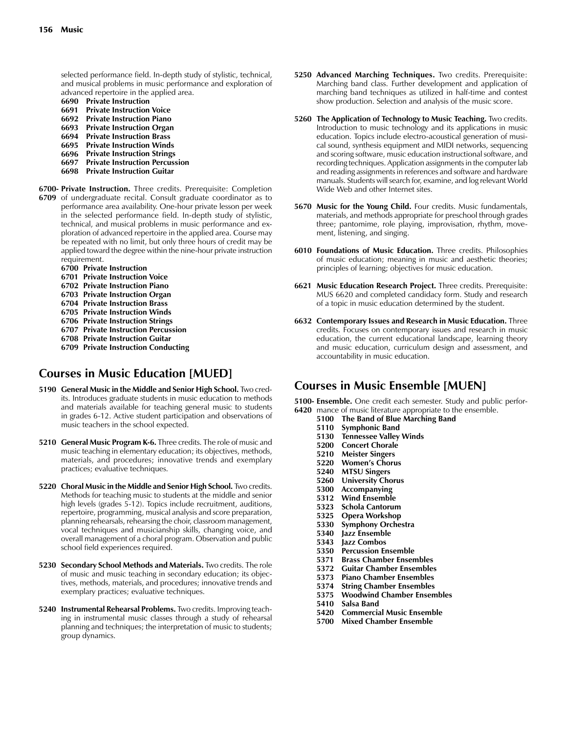selected performance field. In-depth study of stylistic, technical, and musical problems in music performance and exploration of advanced repertoire in the applied area.

- **6690 Private Instruction**
- **6691 Private Instruction Voice**
- **6692 Private Instruction Piano**
- **6693 Private Instruction Organ**
- **6694 Private Instruction Brass 6695 Private Instruction Winds**
- **6696 Private Instruction Strings**
- **6697 Private Instruction Percussion**
- **6698 Private Instruction Guitar**
- **6700- Private Instruction.** Three credits. Prerequisite: Completion
- **6709** of undergraduate recital. Consult graduate coordinator as to performance area availability. One-hour private lesson per week in the selected performance field. In-depth study of stylistic, technical, and musical problems in music performance and exploration of advanced repertoire in the applied area. Course may be repeated with no limit, but only three hours of credit may be applied toward the degree within the nine-hour private instruction requirement.
	- **6700 Private Instruction**
	- **6701 Private Instruction Voice**
	- **6702 Private Instruction Piano**
	- **6703 Private Instruction Organ**
	- **6704 Private Instruction Brass**
	- **6705 Private Instruction Winds**
	- **6706 Private Instruction Strings**
	- **6707 Private Instruction Percussion**
	- **6708 Private Instruction Guitar**
	- **6709 Private Instruction Conducting**

# **Courses in Music Education [MUED]**

- **5190 General Music in the Middle and Senior High School.** Two credits. Introduces graduate students in music education to methods and materials available for teaching general music to students in grades 6-12. Active student participation and observations of music teachers in the school expected.
- **5210 General Music Program K-6.** Three credits. The role of music and music teaching in elementary education; its objectives, methods, materials, and procedures; innovative trends and exemplary practices; evaluative techniques.
- **5220 Choral Music in the Middle and Senior High School.** Two credits. Methods for teaching music to students at the middle and senior high levels (grades 5-12). Topics include recruitment, auditions, repertoire, programming, musical analysis and score preparation, planning rehearsals, rehearsing the choir, classroom management, vocal techniques and musicianship skills, changing voice, and overall management of a choral program. Observation and public school field experiences required.
- **5230 Secondary School Methods and Materials.** Two credits. The role of music and music teaching in secondary education; its objectives, methods, materials, and procedures; innovative trends and exemplary practices; evaluative techniques.
- **5240 Instrumental Rehearsal Problems.** Two credits. Improving teaching in instrumental music classes through a study of rehearsal planning and techniques; the interpretation of music to students; group dynamics.
- **5250 Advanced Marching Techniques.** Two credits. Prerequisite: Marching band class. Further development and application of marching band techniques as utilized in half-time and contest show production. Selection and analysis of the music score.
- **5260 The Application of Technology to Music Teaching.** Two credits. Introduction to music technology and its applications in music education. Topics include electro-acoustical generation of musical sound, synthesis equipment and MIDI networks, sequencing and scoring software, music education instructional software, and recording techniques. Application assignments in the computer lab and reading assignments in references and software and hardware manuals. Students will search for, examine, and log relevant World Wide Web and other Internet sites.
- **5670 Music for the Young Child.** Four credits. Music fundamentals, materials, and methods appropriate for preschool through grades three; pantomime, role playing, improvisation, rhythm, movement, listening, and singing.
- **6010 Foundations of Music Education.** Three credits. Philosophies of music education; meaning in music and aesthetic theories; principles of learning; objectives for music education.
- **6621 Music Education Research Project.** Three credits. Prerequisite: MUS 6620 and completed candidacy form. Study and research of a topic in music education determined by the student.
- **6632 Contemporary Issues and Research in Music Education.** Three credits. Focuses on contemporary issues and research in music education, the current educational landscape, learning theory and music education, curriculum design and assessment, and accountability in music education.

# **Courses in Music Ensemble [MUEN]**

**5100- Ensemble.** One credit each semester. Study and public perfor-

- **6420** mance of music literature appropriate to the ensemble.
	- **5100 The Band of Blue Marching Band**
	- **Symphonic Band**
	- **5130 Tennessee Valley Winds 5200 Concert Chorale**
	-
	- **5210 Meister Singers**
	- **5220 Women's Chorus 5240 MTSU Singers**
	- **5260 University Chorus**
	- **5300 Accompanying**
	-
	- **5312 Wind Ensemble 5323 Schola Cantorum**
	- **5325 Opera Workshop**
	-
	- **5330 Symphony Orchestra 5340 Jazz Ensemble**
	- **5343 Jazz Combos**
	- **5350 Percussion Ensemble**
	- **5371 Brass Chamber Ensembles**
	- **5372 Guitar Chamber Ensembles**
	- **5373 Piano Chamber Ensembles**
	- **5374 String Chamber Ensembles**
	- **5375 Woodwind Chamber Ensembles**
	- **5410 Salsa Band**
	- **5420 Commercial Music Ensemble**
	- **5700 Mixed Chamber Ensemble**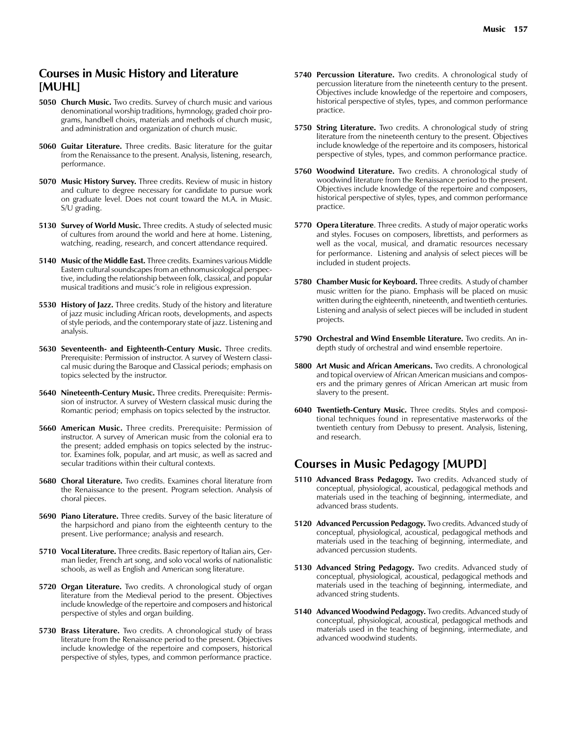## **Courses in Music History and Literature [MUHL]**

- **5050 Church Music.** Two credits. Survey of church music and various denominational worship traditions, hymnology, graded choir programs, handbell choirs, materials and methods of church music, and administration and organization of church music.
- **5060 Guitar Literature.** Three credits. Basic literature for the guitar from the Renaissance to the present. Analysis, listening, research, performance.
- **5070 Music History Survey.** Three credits. Review of music in history and culture to degree necessary for candidate to pursue work on graduate level. Does not count toward the M.A. in Music. S/U grading.
- **5130 Survey of World Music.** Three credits. A study of selected music of cultures from around the world and here at home. Listening, watching, reading, research, and concert attendance required.
- **5140 Music of the Middle East.** Three credits. Examines various Middle Eastern cultural soundscapes from an ethnomusicological perspective, including the relationship between folk, classical, and popular musical traditions and music's role in religious expression.
- **5530 History of Jazz.** Three credits. Study of the history and literature of jazz music including African roots, developments, and aspects of style periods, and the contemporary state of jazz. Listening and analysis.
- **5630 Seventeenth- and Eighteenth-Century Music.** Three credits. Prerequisite: Permission of instructor. A survey of Western classical music during the Baroque and Classical periods; emphasis on topics selected by the instructor.
- **5640 Nineteenth-Century Music.** Three credits. Prerequisite: Permission of instructor. A survey of Western classical music during the Romantic period; emphasis on topics selected by the instructor.
- **5660 American Music.** Three credits. Prerequisite: Permission of instructor. A survey of American music from the colonial era to the present; added emphasis on topics selected by the instructor. Examines folk, popular, and art music, as well as sacred and secular traditions within their cultural contexts.
- **5680 Choral Literature.** Two credits. Examines choral literature from the Renaissance to the present. Program selection. Analysis of choral pieces.
- **5690 Piano Literature.** Three credits. Survey of the basic literature of the harpsichord and piano from the eighteenth century to the present. Live performance; analysis and research.
- **5710 Vocal Literature.** Three credits. Basic repertory of Italian airs, German lieder, French art song, and solo vocal works of nationalistic schools, as well as English and American song literature.
- **5720 Organ Literature.** Two credits. A chronological study of organ literature from the Medieval period to the present. Objectives include knowledge of the repertoire and composers and historical perspective of styles and organ building.
- **5730 Brass Literature.** Two credits. A chronological study of brass literature from the Renaissance period to the present. Objectives include knowledge of the repertoire and composers, historical perspective of styles, types, and common performance practice.
- **5740 Percussion Literature.** Two credits. A chronological study of percussion literature from the nineteenth century to the present. Objectives include knowledge of the repertoire and composers, historical perspective of styles, types, and common performance practice.
- **5750 String Literature.** Two credits. A chronological study of string literature from the nineteenth century to the present. Objectives include knowledge of the repertoire and its composers, historical perspective of styles, types, and common performance practice.
- **5760 Woodwind Literature.** Two credits. A chronological study of woodwind literature from the Renaissance period to the present. Objectives include knowledge of the repertoire and composers, historical perspective of styles, types, and common performance practice.
- **5770 Opera Literature**. Three credits. A study of major operatic works and styles. Focuses on composers, librettists, and performers as well as the vocal, musical, and dramatic resources necessary for performance. Listening and analysis of select pieces will be included in student projects.
- **5780 Chamber Music for Keyboard.** Three credits. A study of chamber music written for the piano. Emphasis will be placed on music written during the eighteenth, nineteenth, and twentieth centuries. Listening and analysis of select pieces will be included in student projects.
- **5790 Orchestral and Wind Ensemble Literature.** Two credits. An indepth study of orchestral and wind ensemble repertoire.
- **5800 Art Music and African Americans.** Two credits. A chronological and topical overview of African American musicians and composers and the primary genres of African American art music from slavery to the present.
- **6040 Twentieth-Century Music.** Three credits. Styles and compositional techniques found in representative masterworks of the twentieth century from Debussy to present. Analysis, listening, and research.

## **Courses in Music Pedagogy [MUPD]**

- **5110 Advanced Brass Pedagogy.** Two credits. Advanced study of conceptual, physiological, acoustical, pedagogical methods and materials used in the teaching of beginning, intermediate, and advanced brass students.
- **5120 Advanced Percussion Pedagogy.** Two credits. Advanced study of conceptual, physiological, acoustical, pedagogical methods and materials used in the teaching of beginning, intermediate, and advanced percussion students.
- **5130 Advanced String Pedagogy.** Two credits. Advanced study of conceptual, physiological, acoustical, pedagogical methods and materials used in the teaching of beginning, intermediate, and advanced string students.
- **5140 Advanced Woodwind Pedagogy.** Two credits. Advanced study of conceptual, physiological, acoustical, pedagogical methods and materials used in the teaching of beginning, intermediate, and advanced woodwind students.